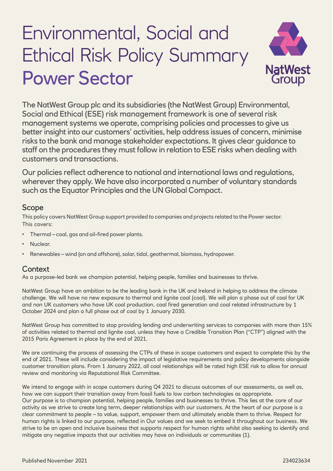# Environmental, Social and Ethical Risk Policy Summary Power Sector



The NatWest Group plc and its subsidiaries (the NatWest Group) Environmental, Social and Ethical (ESE) risk management framework is one of several risk management systems we operate, comprising policies and processes to give us better insight into our customers' activities, help address issues of concern, minimise risks to the bank and manage stakeholder expectations. It gives clear guidance to staff on the procedures they must follow in relation to ESE risks when dealing with customers and transactions.

Our policies reflect adherence to national and international laws and regulations, wherever they apply. We have also incorporated a number of voluntary standards such as the Equator Principles and the UN Global Compact.

# Scope

This policy covers NatWest Group support provided to companies and projects related to the Power sector. This covers:

- Thermal coal, gas and oil-fired power plants.
- Nuclear.
- Renewables wind (on and offshore), solar, tidal, geothermal, biomass, hydropower.

# **Context**

As a purpose-led bank we champion potential, helping people, families and businesses to thrive.

NatWest Group have an ambition to be the leading bank in the UK and Ireland in helping to address the climate challenge. We will have no new exposure to thermal and lignite coal (coal). We will plan a phase out of coal for UK and non UK customers who have UK coal production, coal fired generation and coal related infrastructure by 1 October 2024 and plan a full phase out of coal by 1 January 2030.

NatWest Group has committed to stop providing lending and underwriting services to companies with more than 15% of activities related to thermal and lignite coal, unless they have a Credible Transition Plan ("CTP") aligned with the 2015 Paris Agreement in place by the end of 2021.

We are continuing the process of assessing the CTPs of these in scope customers and expect to complete this by the end of 2021. These will include considering the impact of legislative requirements and policy developments alongside customer transition plans. From 1 January 2022, all coal relationships will be rated high ESE risk to allow for annual review and monitoring via Reputational Risk Committee.

We intend to engage with in scope customers during Q4 2021 to discuss outcomes of our assessments, as well as, how we can support their transition away from fossil fuels to low carbon technologies as appropriate. Our purpose is to champion potential, helping people, families and businesses to thrive. This lies at the core of our activity as we strive to create long term, deeper relationships with our customers. At the heart of our purpose is a clear commitment to people – to value, support, empower them and ultimately enable them to thrive. Respect for human rights is linked to our purpose, reflected in Our values and we seek to embed it throughout our business. We strive to be an open and inclusive business that supports respect for human rights whilst also seeking to identify and mitigate any negative impacts that our activities may have on individuals or communities (1).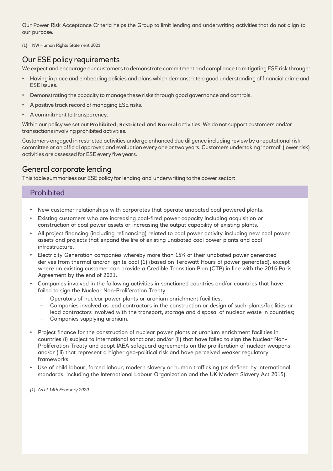Our Power Risk Acceptance Criteria helps the Group to limit lending and underwriting activities that do not align to our purpose.

(1) [NW Human Rights Statement 2021](file:///C:/Users/johnsfg/Downloads/human-rights-statement%20(2).pdf)

# Our ESE policy requirements

We expect and encourage our customers to demonstrate commitment and compliance to mitigating ESE risk through:

- Having in place and embedding policies and plans which demonstrate a good understanding of financial crime and ESE issues.
- Demonstrating the capacity to manage these risks through good governance and controls.
- A positive track record of managing ESE risks.
- A commitment to transparency.

Within our policy we set out **Prohibited**, **Restricted** and **Normal** activities. We do not support customers and/or transactions involving prohibited activities.

Customers engaged in restricted activities undergo enhanced due diligence including review by a reputational risk committee or an official approver, and evaluation every one or two years. Customers undertaking 'normal' (lower risk) activities are assessed for ESE every five years.

# General corporate lending

This table summarises our ESE policy for lending and underwriting to the power sector:

## **Prohibited**

- New customer relationships with corporates that operate unabated coal powered plants.
- Existing customers who are increasing coal-fired power capacity including acquisition or construction of coal power assets or increasing the output capability of existing plants.
- All project financing (including refinancing) related to coal power activity including new coal power assets and projects that expand the life of existing unabated coal power plants and coal infrastructure.
- Electricity Generation companies whereby more than 15% of their unabated power generated derives from thermal and/or lignite coal (1) (based on Terawatt Hours of power generated), except where an existing customer can provide a Credible Transition Plan (CTP) in line with the 2015 Paris Agreement by the end of 2021.
- Companies involved in the following activities in sanctioned countries and/or countries that have failed to sign the Nuclear Non-Proliferation Treaty:
	- Operators of nuclear power plants or uranium enrichment facilities;
	- Companies involved as lead contractors in the construction or design of such plants/facilities or lead contractors involved with the transport, storage and disposal of nuclear waste in countries;
	- Companies supplying uranium.
- Project finance for the construction of nuclear power plants or uranium enrichment facilities in countries (i) subject to international sanctions; and/or (ii) that have failed to sign the Nuclear Non-Proliferation Treaty and adopt IAEA safeguard agreements on the proliferation of nuclear weapons; and/or (iii) that represent a higher geo-political risk and have perceived weaker regulatory frameworks.
- Use of child labour, forced labour, modern slavery or human trafficking (as defined by international standards, including the International Labour Organization and the UK Modern Slavery Act 2015).

*(1) As of 14th February 2020*